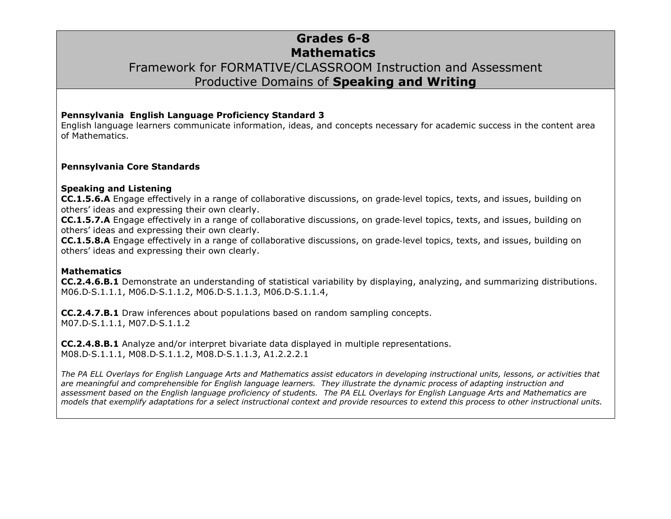# **Grades 6-8 Mathematics** Framework for FORMATIVE/CLASSROOM Instruction and Assessment Productive Domains of **Speaking and Writing**

#### **Pennsylvania English Language Proficiency Standard 3**

English language learners communicate information, ideas, and concepts necessary for academic success in the content area of Mathematics.

#### **Pennsylvania Core Standards**

#### **Speaking and Listening**

**CC.1.5.6.A** Engage effectively in a range of collaborative discussions, on grade‐level topics, texts, and issues, building on others' ideas and expressing their own clearly.

**CC.1.5.7.A** Engage effectively in a range of collaborative discussions, on grade‐level topics, texts, and issues, building on others' ideas and expressing their own clearly.

**CC.1.5.8.A** Engage effectively in a range of collaborative discussions, on grade‐level topics, texts, and issues, building on others' ideas and expressing their own clearly.

#### **Mathematics**

**CC.2.4.6.B.1** Demonstrate an understanding of statistical variability by displaying, analyzing, and summarizing distributions. M06.D‐S.1.1.1, M06.D‐S.1.1.2, M06.D‐S.1.1.3, M06.D‐S.1.1.4,

**CC.2.4.7.B.1** Draw inferences about populations based on random sampling concepts. M07.D‐S.1.1.1, M07.D‐S.1.1.2

**CC.2.4.8.B.1** Analyze and/or interpret bivariate data displayed in multiple representations. M08.D‐S.1.1.1, M08.D‐S.1.1.2, M08.D‐S.1.1.3, A1.2.2.2.1

*The PA ELL Overlays for English Language Arts and Mathematics assist educators in developing instructional units, lessons, or activities that are meaningful and comprehensible for English language learners. They illustrate the dynamic process of adapting instruction and assessment based on the English language proficiency of students. The PA ELL Overlays for English Language Arts and Mathematics are models that exemplify adaptations for a select instructional context and provide resources to extend this process to other instructional units.*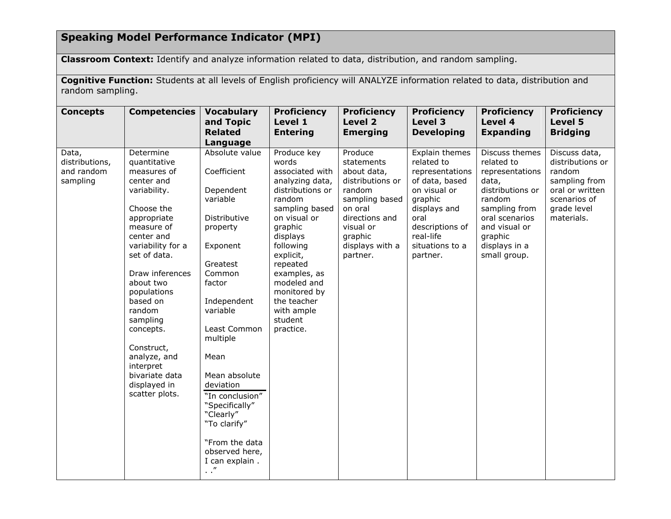## **Speaking Model Performance Indicator (MPI)**

**Classroom Context:** Identify and analyze information related to data, distribution, and random sampling.

**Cognitive Function:** Students at all levels of English proficiency will ANALYZE information related to data, distribution and random sampling.

| <b>Concepts</b>                                   | <b>Competencies</b>                                                                                                                                                                                                                                                                                                                                               | <b>Vocabulary</b><br>and Topic<br><b>Related</b><br>Language                                                                                                                                                                                                                                                                                                      | <b>Proficiency</b><br>Level 1<br><b>Entering</b>                                                                                                                                                                                                                                            | <b>Proficiency</b><br>Level 2<br><b>Emerging</b>                                                                                                                         | <b>Proficiency</b><br>Level 3<br><b>Developing</b>                                                                                                                                  | <b>Proficiency</b><br>Level 4<br><b>Expanding</b>                                                                                                                                      | <b>Proficiency</b><br>Level 5<br><b>Bridging</b>                                                                             |
|---------------------------------------------------|-------------------------------------------------------------------------------------------------------------------------------------------------------------------------------------------------------------------------------------------------------------------------------------------------------------------------------------------------------------------|-------------------------------------------------------------------------------------------------------------------------------------------------------------------------------------------------------------------------------------------------------------------------------------------------------------------------------------------------------------------|---------------------------------------------------------------------------------------------------------------------------------------------------------------------------------------------------------------------------------------------------------------------------------------------|--------------------------------------------------------------------------------------------------------------------------------------------------------------------------|-------------------------------------------------------------------------------------------------------------------------------------------------------------------------------------|----------------------------------------------------------------------------------------------------------------------------------------------------------------------------------------|------------------------------------------------------------------------------------------------------------------------------|
| Data,<br>distributions,<br>and random<br>sampling | Determine<br>quantitative<br>measures of<br>center and<br>variability.<br>Choose the<br>appropriate<br>measure of<br>center and<br>variability for a<br>set of data.<br>Draw inferences<br>about two<br>populations<br>based on<br>random<br>sampling<br>concepts.<br>Construct,<br>analyze, and<br>interpret<br>bivariate data<br>displayed in<br>scatter plots. | Absolute value<br>Coefficient<br>Dependent<br>variable<br>Distributive<br>property<br>Exponent<br>Greatest<br>Common<br>factor<br>Independent<br>variable<br>Least Common<br>multiple<br>Mean<br>Mean absolute<br>deviation<br>"In conclusion"<br>"Specifically"<br>"Clearly"<br>"To clarify"<br>"From the data<br>observed here,<br>I can explain.<br>$\cdot$ ." | Produce key<br>words<br>associated with<br>analyzing data,<br>distributions or<br>random<br>sampling based<br>on visual or<br>graphic<br>displays<br>following<br>explicit,<br>repeated<br>examples, as<br>modeled and<br>monitored by<br>the teacher<br>with ample<br>student<br>practice. | Produce<br>statements<br>about data,<br>distributions or<br>random<br>sampling based<br>on oral<br>directions and<br>visual or<br>graphic<br>displays with a<br>partner. | Explain themes<br>related to<br>representations<br>of data, based<br>on visual or<br>graphic<br>displays and<br>oral<br>descriptions of<br>real-life<br>situations to a<br>partner. | Discuss themes<br>related to<br>representations<br>data,<br>distributions or<br>random<br>sampling from<br>oral scenarios<br>and visual or<br>graphic<br>displays in a<br>small group. | Discuss data,<br>distributions or<br>random<br>sampling from<br>oral or written<br>scenarios of<br>grade level<br>materials. |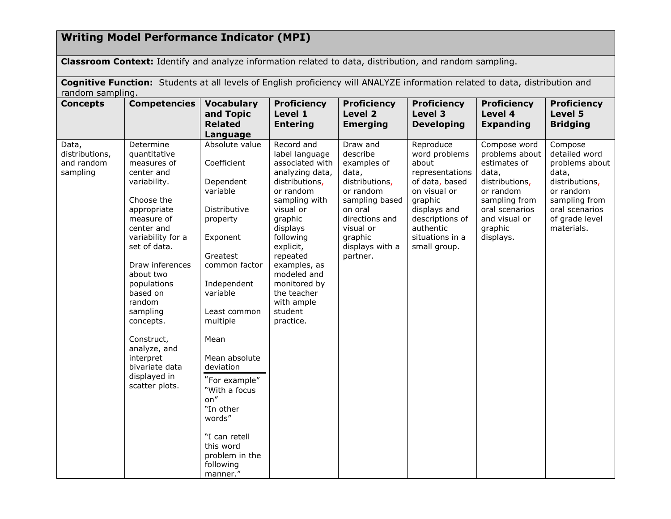## **Writing Model Performance Indicator (MPI)**

**Classroom Context:** Identify and analyze information related to data, distribution, and random sampling.

**Cognitive Function:** Students at all levels of English proficiency will ANALYZE information related to data, distribution and random sampling.

| <b>Concepts</b>                                   | <b>Competencies</b>                                                                                                                                                                                                                                                                                                                                               | <b>Vocabulary</b><br>and Topic<br><b>Related</b><br>Language                                                                                                                                                                                                                                                                                                      | <b>Proficiency</b><br>Level 1<br><b>Entering</b>                                                                                                                                                                                                                                                 | <b>Proficiency</b><br>Level 2<br><b>Emerging</b>                                                                                                                                  | <b>Proficiency</b><br>Level 3<br><b>Developing</b>                                                                                                                                     | <b>Proficiency</b><br>Level 4<br><b>Expanding</b>                                                                                                                  | <b>Proficiency</b><br>Level 5<br><b>Bridging</b>                                                                                                      |
|---------------------------------------------------|-------------------------------------------------------------------------------------------------------------------------------------------------------------------------------------------------------------------------------------------------------------------------------------------------------------------------------------------------------------------|-------------------------------------------------------------------------------------------------------------------------------------------------------------------------------------------------------------------------------------------------------------------------------------------------------------------------------------------------------------------|--------------------------------------------------------------------------------------------------------------------------------------------------------------------------------------------------------------------------------------------------------------------------------------------------|-----------------------------------------------------------------------------------------------------------------------------------------------------------------------------------|----------------------------------------------------------------------------------------------------------------------------------------------------------------------------------------|--------------------------------------------------------------------------------------------------------------------------------------------------------------------|-------------------------------------------------------------------------------------------------------------------------------------------------------|
| Data,<br>distributions,<br>and random<br>sampling | Determine<br>quantitative<br>measures of<br>center and<br>variability.<br>Choose the<br>appropriate<br>measure of<br>center and<br>variability for a<br>set of data.<br>Draw inferences<br>about two<br>populations<br>based on<br>random<br>sampling<br>concepts.<br>Construct,<br>analyze, and<br>interpret<br>bivariate data<br>displayed in<br>scatter plots. | Absolute value<br>Coefficient<br>Dependent<br>variable<br>Distributive<br>property<br>Exponent<br>Greatest<br>common factor<br>Independent<br>variable<br>Least common<br>multiple<br>Mean<br>Mean absolute<br>deviation<br>"For example"<br>"With a focus<br>on"<br>"In other<br>words"<br>"I can retell<br>this word<br>problem in the<br>following<br>manner." | Record and<br>label language<br>associated with<br>analyzing data,<br>distributions,<br>or random<br>sampling with<br>visual or<br>graphic<br>displays<br>following<br>explicit,<br>repeated<br>examples, as<br>modeled and<br>monitored by<br>the teacher<br>with ample<br>student<br>practice. | Draw and<br>describe<br>examples of<br>data,<br>distributions,<br>or random<br>sampling based<br>on oral<br>directions and<br>visual or<br>graphic<br>displays with a<br>partner. | Reproduce<br>word problems<br>about<br>representations<br>of data, based<br>on visual or<br>graphic<br>displays and<br>descriptions of<br>authentic<br>situations in a<br>small group. | Compose word<br>problems about<br>estimates of<br>data,<br>distributions,<br>or random<br>sampling from<br>oral scenarios<br>and visual or<br>graphic<br>displays. | Compose<br>detailed word<br>problems about<br>data,<br>distributions,<br>or random<br>sampling from<br>oral scenarios<br>of grade level<br>materials. |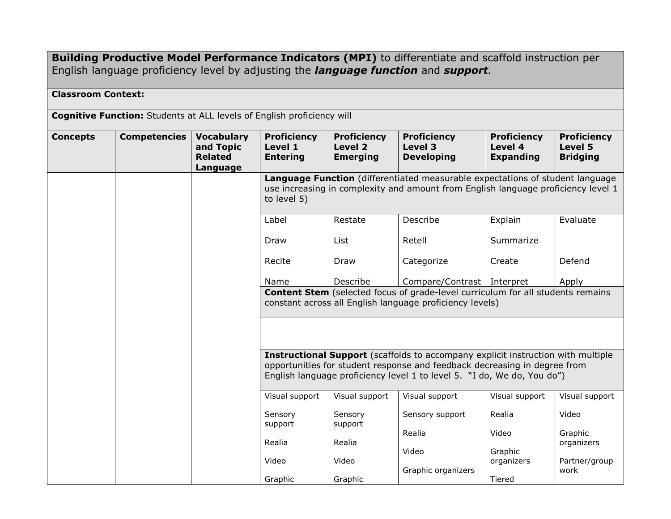**Building Productive Model Performance Indicators (MPI)** to differentiate and scaffold instruction per English language proficiency level by adjusting the *language function* and *support.*

### **Classroom Context:**

**Cognitive Function:** Students at ALL levels of English proficiency will

| <b>Concepts</b> | <b>Competencies</b> | <b>Vocabulary</b><br>and Topic<br><b>Related</b><br>Language | <b>Proficiency</b><br>Level 1<br><b>Entering</b>                                                                                                                                                                                                | <b>Proficiency</b><br>Level 2<br><b>Emerging</b> | <b>Proficiency</b><br>Level 3<br><b>Developing</b>                                                                                                 | <b>Proficiency</b><br>Level 4<br><b>Expanding</b> | <b>Proficiency</b><br>Level 5<br><b>Bridging</b> |  |  |
|-----------------|---------------------|--------------------------------------------------------------|-------------------------------------------------------------------------------------------------------------------------------------------------------------------------------------------------------------------------------------------------|--------------------------------------------------|----------------------------------------------------------------------------------------------------------------------------------------------------|---------------------------------------------------|--------------------------------------------------|--|--|
|                 |                     |                                                              | Language Function (differentiated measurable expectations of student language<br>use increasing in complexity and amount from English language proficiency level 1<br>to level 5)                                                               |                                                  |                                                                                                                                                    |                                                   |                                                  |  |  |
|                 |                     |                                                              | Label                                                                                                                                                                                                                                           | Restate                                          | Describe                                                                                                                                           | Explain                                           | Evaluate                                         |  |  |
|                 |                     |                                                              | Draw                                                                                                                                                                                                                                            | List                                             | Retell                                                                                                                                             | Summarize                                         |                                                  |  |  |
|                 |                     |                                                              | Recite                                                                                                                                                                                                                                          | Draw                                             | Categorize                                                                                                                                         | Create                                            | Defend                                           |  |  |
|                 |                     |                                                              | Name                                                                                                                                                                                                                                            | Describe                                         | Compare/Contrast   Interpret                                                                                                                       |                                                   | Apply                                            |  |  |
|                 |                     |                                                              |                                                                                                                                                                                                                                                 |                                                  | <b>Content Stem</b> (selected focus of grade-level curriculum for all students remains<br>constant across all English language proficiency levels) |                                                   |                                                  |  |  |
|                 |                     |                                                              | <b>Instructional Support</b> (scaffolds to accompany explicit instruction with multiple<br>opportunities for student response and feedback decreasing in degree from<br>English language proficiency level 1 to level 5. "I do, We do, You do") |                                                  |                                                                                                                                                    |                                                   |                                                  |  |  |
|                 |                     |                                                              | Visual support                                                                                                                                                                                                                                  | Visual support                                   | Visual support                                                                                                                                     | Visual support                                    | Visual support                                   |  |  |
|                 |                     |                                                              | Sensory<br>support                                                                                                                                                                                                                              | Sensory<br>support                               | Sensory support                                                                                                                                    | Realia                                            | Video                                            |  |  |
|                 |                     |                                                              | Realia                                                                                                                                                                                                                                          | Realia                                           | Realia                                                                                                                                             | Video                                             | Graphic<br>organizers                            |  |  |
|                 |                     |                                                              | Video                                                                                                                                                                                                                                           | Video                                            | Video<br>Graphic organizers                                                                                                                        | Graphic<br>organizers                             | Partner/group<br>work                            |  |  |
|                 |                     |                                                              | Graphic                                                                                                                                                                                                                                         | Graphic                                          |                                                                                                                                                    | Tiered                                            |                                                  |  |  |